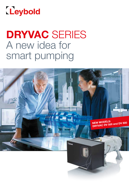

# DRYVAC SERIES A new idea for smart pumping

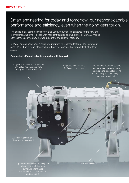## Smart engineering for today and tomorrow: our network-capable performance and efficiency, even when the going gets tough.

This series of dry compressing screw-type vacuum pumps is engineered for the new era of smart manufacturing. Packed with intelligent features and functions, all DRYVAC models offer seamless connectivity, networked control and superior efficiency.

DRYVAC pumps boost your productivity, minimize your carbon footprint, and lower your costs. Plus, thanks to an integrated smart service concept, they virtually look after themselves.

#### Connected, efficient, reliable – smarter with Leybold.

Purge of shaft seals and adjustable gas ballast depending on duty Ready for harsh applications

Integrated blow-off valve for faster pump-down

Integrated temperature sensors ensure a safe operation under harsh operating conditions. The water cooling lines are designed to prevent any clogging.

Automatic vacuum side shaft seal purge control

> Optimized patented rotor design for highest energy efficiency and pumping performance Rotor material: ductile cast iron grade (GGG 40)

Hermetically sealed pump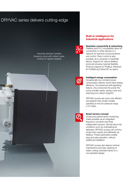## DRYVAC series delivers cutting-edge

Industrial standard variable frequency drive with indirect water cooling for highest reliability



#### Built-in intelligence for industrial applications

#### Seamless connectivity & networking

Fieldbus and PLC compatibility allow for connectivity to other devices in a network for real-time communications and control. Direct control is also possible via a computer or handheld device. Support for various fieldbus protocols ensures maximal flexibility. Protocol support for Profibus, Ethernet/ IP, ProfiNet and EtherCAT as option.

#### Intelligent energy consumption

Exceptionally low constant power consumption delivers world-class energy efficiency. The advanced self-regulating feature, only consumes the power the pump actually needs, saving costs and reducing your carbon footprint.

DRYVAC pumps are more cost-efficient and greener than similar models operating in the low-pressure range (<10 mbar).



#### Smart service concept

Continuous performance monitoring made possible via an integrated frequency converter and three independent sensors. Should abnormal conditions such as overheating be detected, DRYVAC pumps can communicate them quickly and efficiently via fieldbus. Preset parameters enable plug-and-play operation, without additional installation.

DRYVAC pumps also feature minimal maintenance and easy cleaning of water cooling channels thanks to a non-jacketed design.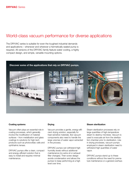### World-class vacuum performance for diverse applications

The DRYVAC series is suitable for even the toughest industrial demands and applications – whenever and wherever a hermetically sealed pump is required. All versions of the DRYVAC family feature water cooling, a highly compact design, and simple, versatile mounting options.

#### Discover some of the applications that rely on DRYVAC pumps.







#### Coating systems

Vacuum often plays an essential role in coating processes, which generally involve the modification of material surfaces – from metallization and glass coatings to solutions for high-tech products such as photovoltaic cells and ophthalmic lenses.

DRYVAC pumps offer a clean, compact and energy-efficient solution that is easy to install and requires minimal maintenance.

#### **Drving**

Vacuum provides a gentle, energy-efficient drying solution, especially for heat-sensitive materials. But vacuum components also need to handle the large volumes of water vapor extracted in the process.

DRYVAC pumps can withstand high humidity levels without additional maintenance (no extra oil or exhaust filter changes). Their screw design avoids condensation and allows the pumps to keep performing at a high level over time.

#### Steam sterilization

Steam sterilization processes rely on large quantities of high-temperature steam to destroy microbes. Vacuum is used to evacuate air from the sterilization chamber prior to sterilization. Like in drying processes, vacuum pumps employed in steam sterilization need to withstand high quantities of water vapor.

DRYVAC pumps stand up to these conditions without the need for premature maintenance or a general overhaul.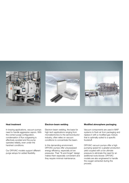

#### Heat treatment

In brazing applications, vacuum pumps need to handle aggressive vapors. With the correct purge configuration, condensation of flux outgassing is effectively avoided and the pump operates reliably, even under the harshest conditions.

Our DRYVAC models support different purge setups for added flexibility.

#### Electron-beam welding

Electron-beam welding, the basis for high-tech applications ranging from microelectronics to the semiconductor industry, often relies on vacuum conditions to concentrate the beam.

In this demanding environment, DRYVAC pumps offer unsurpassed energy efficiency, especially at low pressures. Their "fit-and-forget" design makes them especially convenient and they require minimal maintenance.

#### Modified atmosphere packaging

Vacuum components are used in MAP systems to flush air from packaging and replace it with a modified gas mixture that is optimally suited to a specific foodstuff.

DRYVAC vacuum pumps offer a high pumping speed for a greater production yield coupled with a low ultimate pressure to eliminate the need for an additional roots blower. DRYVAC models are also engineered to handle the oxygen extracted during the process.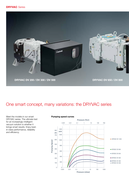

## One smart concept, many variations: the DRYVAC series

Meet the models in our smart DRYVAC series. The ultimate test for an increasingly intelligent vacuum solution is whether it brings smart results. Enjoy bestin-class performance, reliability and efficiency.

#### Pumping speed curves

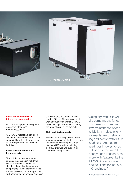

#### Smart and connected with future-ready accessories

What makes top-performing pumps even more intelligent? Smart accessories.

All DRYVAC models are equipped with a frequency converter and offer compatibility with a intelligent range of fieldbus protocols for maximum flexibility.

#### Industrial standard variable frequency drive

This built-in frequency converter operates in conjunction with three standard sensors to monitor all electrical, thermal and mechanical components. The sensors detect the exhaust pressure, motor temperature and water outlet temperature and issue status updates and warnings when needed. Taking efficiency up a notch: with a frequency converter, DRYVAC 300 moves up a whole class, making it the most efficient pump available.

#### Fieldbus interface cards

Fieldbus compatibility makes DRYVAC vacuum pumps ready for the demands of smart manufacturing. All pumps offer serial I/O solutions including a RS485 interface and support for various fieldbus protocols.

"Going dry with DRYVAC dry pump means for our customers to combine low maintenance needs, reliability in industrial environments, easy networking and control with future readiness. And future readiness involves for us solutions to minimize the energy consumption even more with features like the DRYVAC Energy Saver and solutions for Industry 4.0 readiness."